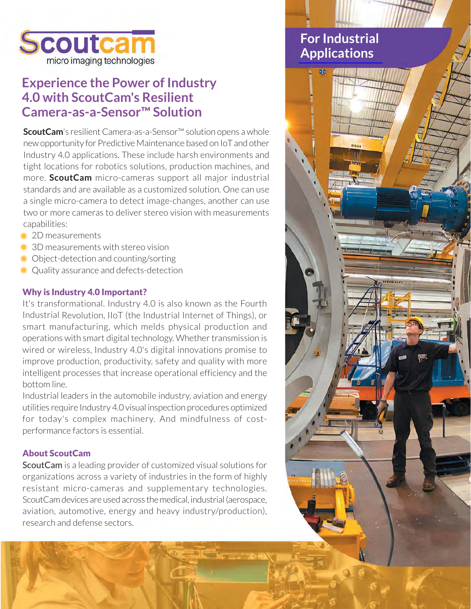

### **Experience the Power of Industry 4.0 with ScoutCam's Resilient** Camera-as-a-Sensor<sup>™</sup> Solution

ScoutCam's resilient Camera-as-a-Sensor™ solution opens a whole new opportunity for Predictive Maintenance based on IoT and other Industry 4.0 applications. These include harsh environments and tight locations for robotics solutions, production machines, and more. ScoutCam micro-cameras support all major industrial standards and are available as a customized solution. One can use a single micro-camera to detect image-changes, another can use two or more cameras to deliver stereo vision with measurements capabilities:

- 2D measurements
- 3D measurements with stereo vision
- Object-detection and counting/sorting
- Quality assurance and defects-detection

#### **Why is Industry 4.0 Important?**

It's transformational. Industry 4.0 is also known as the Fourth Industrial Revolution, IIoT (the Industrial Internet of Things), or smart manufacturing, which melds physical production and operations with smart digital technology. Whether transmission is wired or wireless, Industry 4.0's digital innovations promise to improve production, productivity, safety and quality with more intelligent processes that increase operational efficiency and the bottom line.

Industrial leaders in the automobile industry, aviation and energy utilities require Industry 4.0 visual inspection procedures optimized for today's complex machinery. And mindfulness of costperformance factors is essential.

#### **About ScoutCam**

ScoutCam is a leading provider of customized visual solutions for organizations across a variety of industries in the form of highly resistant micro-cameras and supplementary technologies. ScoutCam devices are used across the medical, industrial (aerospace, aviation, automotive, energy and heavy industry/production), research and defense sectors.

### **For Industrial Applications**

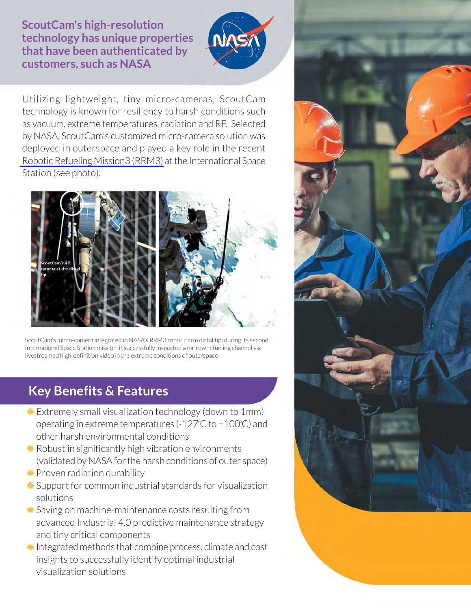**ScoutCam's high-resolution** technology has unique properties that have been authenticated by customers, such as NASA



Utilizing lightweight, tiny micro-cameras, ScoutCam technology is known for resiliency to harsh conditions such as vacuum, extreme temperatures, radiation and RF. Selected by NASA. ScoutCam's customized micro-camera solution was deployed in outerspace and played a key role in the recent Robotic Refueling Mission3 (RRM3) at the International Space Station (see photo).



ScoutCam's micro-camera integrated in NASA's RRM3 robotic arm distal tip; during its second International Space Station mission, it successfully inspected a narrow refueling channel via livestreamed high-definition video in the extreme conditions of outerspace

## **Key Benefits & Features**

- Extremely small visualization technology (down to 1mm) operating in extreme temperatures (-127 $\degree$ C to +100 $\degree$ C) and other harsh environmental conditions
- Robust in significantly high vibration environments (validated by NASA for the harsh conditions of outer space)
- Proven radiation durability
- Support for common industrial standards for visualization solutions
- Saving on machine-maintenance costs resulting from advanced Industrial 4.0 predictive maintenance strategy and tiny critical components
- Integrated methods that combine process, climate and cost insights to successfully identify optimal industrial visualization solutions

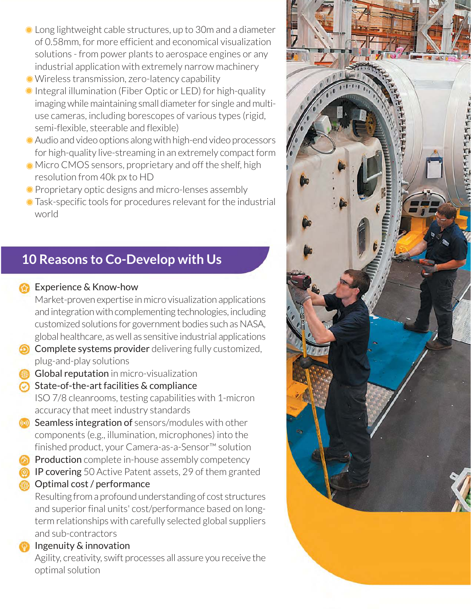- Long lightweight cable structures, up to 30m and a diameter of 0.58mm, for more efficient and economical visualization solutions - from power plants to aerospace engines or any industrial application with extremely narrow machinery
- Wireless transmission, zero-latency capability
- Integral illumination (Fiber Optic or LED) for high-quality imaging while maintaining small diameter for single and multiuse cameras, including borescopes of various types (rigid, semi-flexible, steerable and flexible)
- Audio and video options along with high-end video processors for high-quality live-streaming in an extremely compact form
- Micro CMOS sensors, proprietary and off the shelf, high resolution from 40k px to HD
- Proprietary optic designs and micro-lenses assembly
- Task-specific tools for procedures relevant for the industrial world

# 10 Reasons to Co-Develop with Us

- Experience & Know-how Market-proven expertise in micro visualization applications
	- and integration with complementing technologies, including customized solutions for government bodies such as NASA, global healthcare, as well as sensitive industrial applications
- **O** Complete systems provider delivering fully customized, plug-and-play solutions
- **Global reputation** in micro-visualization
- $\odot$  State-of-the-art facilities & compliance ISO 7/8 cleanrooms, testing capabilities with 1-micron accuracy that meet industry standards
- Seamless integration of sensors/modules with other components (e.g., illumination, microphones) into the finished product, your Camera-as-a-Sensor™ solution
- **Confidence in-house** assembly competency
- **P** IP covering 50 Active Patent assets, 29 of them granted Optimal cost / performance

Resulting from a profound understanding of cost structures and superior final units' cost/performance based on longterm relationships with carefully selected global suppliers and sub-contractors

#### Ingenuity & innovation

Agility, creativity, swift processes all assure you receive the optimal solution